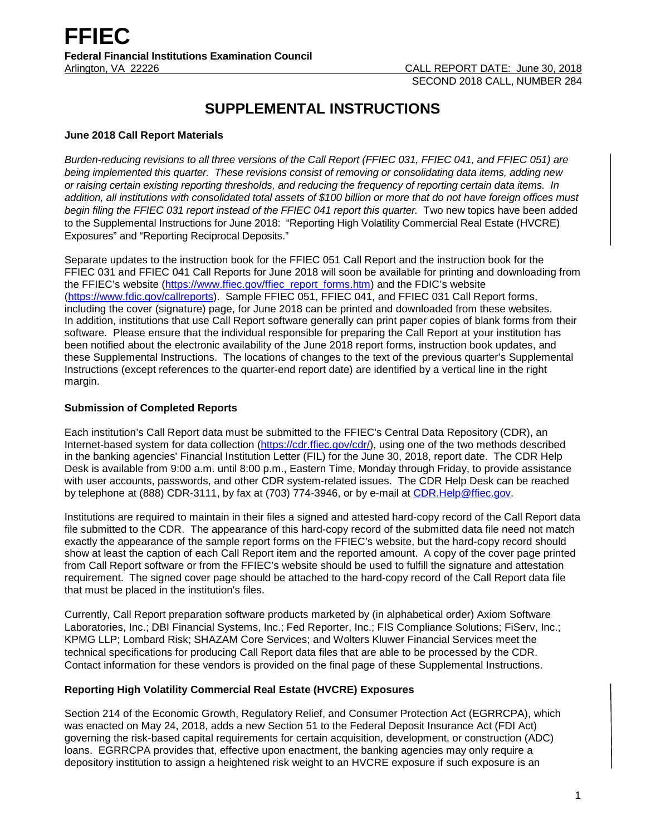# **SUPPLEMENTAL INSTRUCTIONS**

#### **June 2018 Call Report Materials**

*Burden-reducing revisions to all three versions of the Call Report (FFIEC 031, FFIEC 041, and FFIEC 051) are being implemented this quarter. These revisions consist of removing or consolidating data items, adding new or raising certain existing reporting thresholds, and reducing the frequency of reporting certain data items. In addition, all institutions with consolidated total assets of \$100 billion or more that do not have foreign offices must begin filing the FFIEC 031 report instead of the FFIEC 041 report this quarter.* Two new topics have been added to the Supplemental Instructions for June 2018: "Reporting High Volatility Commercial Real Estate (HVCRE) Exposures" and "Reporting Reciprocal Deposits."

Separate updates to the instruction book for the FFIEC 051 Call Report and the instruction book for the FFIEC 031 and FFIEC 041 Call Reports for June 2018 will soon be available for printing and downloading from the FFIEC's website [\(https://www.ffiec.gov/ffiec\\_report\\_forms.htm\)](https://www.ffiec.gov/ffiec_report_forms.htm) and the FDIC's website [\(https://www.fdic.gov/callreports\)](https://www.fdic.gov/callreports). Sample FFIEC 051, FFIEC 041, and FFIEC 031 Call Report forms, including the cover (signature) page, for June 2018 can be printed and downloaded from these websites. In addition, institutions that use Call Report software generally can print paper copies of blank forms from their software. Please ensure that the individual responsible for preparing the Call Report at your institution has been notified about the electronic availability of the June 2018 report forms, instruction book updates, and these Supplemental Instructions. The locations of changes to the text of the previous quarter's Supplemental Instructions (except references to the quarter-end report date) are identified by a vertical line in the right margin.

# **Submission of Completed Reports**

Each institution's Call Report data must be submitted to the FFIEC's Central Data Repository (CDR), an Internet-based system for data collection [\(https://cdr.ffiec.gov/cdr/\)](https://cdr.ffiec.gov/cdr/), using one of the two methods described in the banking agencies' Financial Institution Letter (FIL) for the June 30, 2018, report date. The CDR Help Desk is available from 9:00 a.m. until 8:00 p.m., Eastern Time, Monday through Friday, to provide assistance with user accounts, passwords, and other CDR system-related issues. The CDR Help Desk can be reached by telephone at (888) CDR-3111, by fax at (703) 774-3946, or by e-mail at [CDR.Help@ffiec.gov.](mailto:CDR.Help@ffiec.gov) 

Institutions are required to maintain in their files a signed and attested hard-copy record of the Call Report data file submitted to the CDR. The appearance of this hard-copy record of the submitted data file need not match exactly the appearance of the sample report forms on the FFIEC's website, but the hard-copy record should show at least the caption of each Call Report item and the reported amount. A copy of the cover page printed from Call Report software or from the FFIEC's website should be used to fulfill the signature and attestation requirement. The signed cover page should be attached to the hard-copy record of the Call Report data file that must be placed in the institution's files.

Currently, Call Report preparation software products marketed by (in alphabetical order) Axiom Software Laboratories, Inc.; DBI Financial Systems, Inc.; Fed Reporter, Inc.; FIS Compliance Solutions; FiServ, Inc.; KPMG LLP; Lombard Risk; SHAZAM Core Services; and Wolters Kluwer Financial Services meet the technical specifications for producing Call Report data files that are able to be processed by the CDR. Contact information for these vendors is provided on the final page of these Supplemental Instructions.

# **Reporting High Volatility Commercial Real Estate (HVCRE) Exposures**

Section 214 of the Economic Growth, Regulatory Relief, and Consumer Protection Act (EGRRCPA), which was enacted on May 24, 2018, adds a new Section 51 to the Federal Deposit Insurance Act (FDI Act) governing the risk-based capital requirements for certain acquisition, development, or construction (ADC) loans. EGRRCPA provides that, effective upon enactment, the banking agencies may only require a depository institution to assign a heightened risk weight to an HVCRE exposure if such exposure is an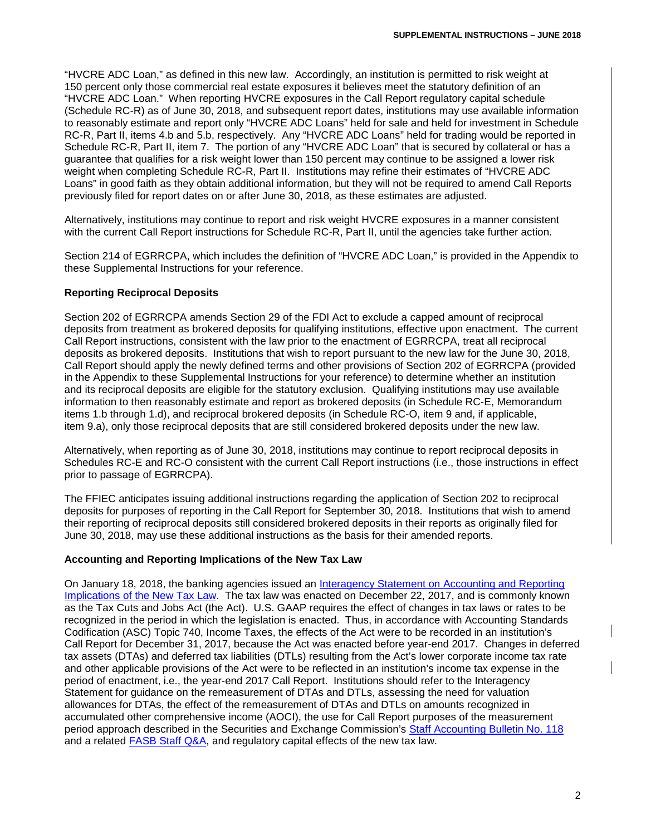"HVCRE ADC Loan," as defined in this new law. Accordingly, an institution is permitted to risk weight at 150 percent only those commercial real estate exposures it believes meet the statutory definition of an "HVCRE ADC Loan." When reporting HVCRE exposures in the Call Report regulatory capital schedule (Schedule RC-R) as of June 30, 2018, and subsequent report dates, institutions may use available information to reasonably estimate and report only "HVCRE ADC Loans" held for sale and held for investment in Schedule RC-R, Part II, items 4.b and 5.b, respectively. Any "HVCRE ADC Loans" held for trading would be reported in Schedule RC-R, Part II, item 7. The portion of any "HVCRE ADC Loan" that is secured by collateral or has a guarantee that qualifies for a risk weight lower than 150 percent may continue to be assigned a lower risk weight when completing Schedule RC-R, Part II. Institutions may refine their estimates of "HVCRE ADC Loans" in good faith as they obtain additional information, but they will not be required to amend Call Reports previously filed for report dates on or after June 30, 2018, as these estimates are adjusted.

Alternatively, institutions may continue to report and risk weight HVCRE exposures in a manner consistent with the current Call Report instructions for Schedule RC-R, Part II, until the agencies take further action.

Section 214 of EGRRCPA, which includes the definition of "HVCRE ADC Loan," is provided in the Appendix to these Supplemental Instructions for your reference.

# **Reporting Reciprocal Deposits**

Section 202 of EGRRCPA amends Section 29 of the FDI Act to exclude a capped amount of reciprocal deposits from treatment as brokered deposits for qualifying institutions, effective upon enactment. The current Call Report instructions, consistent with the law prior to the enactment of EGRRCPA, treat all reciprocal deposits as brokered deposits. Institutions that wish to report pursuant to the new law for the June 30, 2018, Call Report should apply the newly defined terms and other provisions of Section 202 of EGRRCPA (provided in the Appendix to these Supplemental Instructions for your reference) to determine whether an institution and its reciprocal deposits are eligible for the statutory exclusion. Qualifying institutions may use available information to then reasonably estimate and report as brokered deposits (in Schedule RC-E, Memorandum items 1.b through 1.d), and reciprocal brokered deposits (in Schedule RC-O, item 9 and, if applicable, item 9.a), only those reciprocal deposits that are still considered brokered deposits under the new law.

Alternatively, when reporting as of June 30, 2018, institutions may continue to report reciprocal deposits in Schedules RC-E and RC-O consistent with the current Call Report instructions (i.e., those instructions in effect prior to passage of EGRRCPA).

The FFIEC anticipates issuing additional instructions regarding the application of Section 202 to reciprocal deposits for purposes of reporting in the Call Report for September 30, 2018. Institutions that wish to amend their reporting of reciprocal deposits still considered brokered deposits in their reports as originally filed for June 30, 2018, may use these additional instructions as the basis for their amended reports.

#### **Accounting and Reporting Implications of the New Tax Law**

On January 18, 2018, the banking agencies issued an [Interagency Statement on Accounting and Reporting](https://www.fdic.gov/news/news/financial/2018/fil18006a.pdf)  [Implications of the New Tax Law.](https://www.fdic.gov/news/news/financial/2018/fil18006a.pdf) The tax law was enacted on December 22, 2017, and is commonly known as the Tax Cuts and Jobs Act (the Act). U.S. GAAP requires the effect of changes in tax laws or rates to be recognized in the period in which the legislation is enacted. Thus, in accordance with Accounting Standards Codification (ASC) Topic 740, Income Taxes, the effects of the Act were to be recorded in an institution's Call Report for December 31, 2017, because the Act was enacted before year-end 2017. Changes in deferred tax assets (DTAs) and deferred tax liabilities (DTLs) resulting from the Act's lower corporate income tax rate and other applicable provisions of the Act were to be reflected in an institution's income tax expense in the period of enactment, i.e., the year-end 2017 Call Report. Institutions should refer to the Interagency Statement for guidance on the remeasurement of DTAs and DTLs, assessing the need for valuation allowances for DTAs, the effect of the remeasurement of DTAs and DTLs on amounts recognized in accumulated other comprehensive income (AOCI), the use for Call Report purposes of the measurement period approach described in the Securities and Exchange Commission's [Staff Accounting Bulletin No. 118](https://www.sec.gov/interps/account/staff-accounting-bulletin-118.htm) and a related FASB [Staff Q&A,](http://www.fasb.org/cs/ContentServer?c=Document_C&cid=1176169782120&d=&pagename=FASB%2FDocument_C%2FDocumentPage) and regulatory capital effects of the new tax law.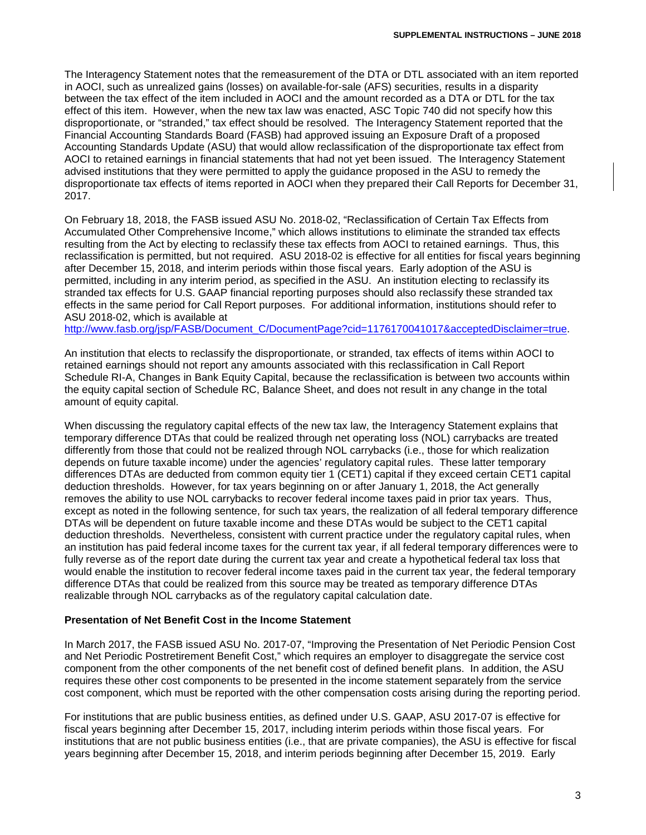The Interagency Statement notes that the remeasurement of the DTA or DTL associated with an item reported in AOCI, such as unrealized gains (losses) on available-for-sale (AFS) securities, results in a disparity between the tax effect of the item included in AOCI and the amount recorded as a DTA or DTL for the tax effect of this item. However, when the new tax law was enacted, ASC Topic 740 did not specify how this disproportionate, or "stranded," tax effect should be resolved. The Interagency Statement reported that the Financial Accounting Standards Board (FASB) had approved issuing an Exposure Draft of a proposed Accounting Standards Update (ASU) that would allow reclassification of the disproportionate tax effect from AOCI to retained earnings in financial statements that had not yet been issued. The Interagency Statement advised institutions that they were permitted to apply the guidance proposed in the ASU to remedy the disproportionate tax effects of items reported in AOCI when they prepared their Call Reports for December 31, 2017.

On February 18, 2018, the FASB issued ASU No. 2018-02, "Reclassification of Certain Tax Effects from Accumulated Other Comprehensive Income," which allows institutions to eliminate the stranded tax effects resulting from the Act by electing to reclassify these tax effects from AOCI to retained earnings. Thus, this reclassification is permitted, but not required. ASU 2018-02 is effective for all entities for fiscal years beginning after December 15, 2018, and interim periods within those fiscal years. Early adoption of the ASU is permitted, including in any interim period, as specified in the ASU. An institution electing to reclassify its stranded tax effects for U.S. GAAP financial reporting purposes should also reclassify these stranded tax effects in the same period for Call Report purposes. For additional information, institutions should refer to ASU 2018-02, which is available at

[http://www.fasb.org/jsp/FASB/Document\\_C/DocumentPage?cid=1176170041017&acceptedDisclaimer=true.](http://www.fasb.org/jsp/FASB/Document_C/DocumentPage?cid=1176170041017&acceptedDisclaimer=true)

An institution that elects to reclassify the disproportionate, or stranded, tax effects of items within AOCI to retained earnings should not report any amounts associated with this reclassification in Call Report Schedule RI-A, Changes in Bank Equity Capital, because the reclassification is between two accounts within the equity capital section of Schedule RC, Balance Sheet, and does not result in any change in the total amount of equity capital.

When discussing the regulatory capital effects of the new tax law, the Interagency Statement explains that temporary difference DTAs that could be realized through net operating loss (NOL) carrybacks are treated differently from those that could not be realized through NOL carrybacks (i.e., those for which realization depends on future taxable income) under the agencies' regulatory capital rules. These latter temporary differences DTAs are deducted from common equity tier 1 (CET1) capital if they exceed certain CET1 capital deduction thresholds. However, for tax years beginning on or after January 1, 2018, the Act generally removes the ability to use NOL carrybacks to recover federal income taxes paid in prior tax years. Thus, except as noted in the following sentence, for such tax years, the realization of all federal temporary difference DTAs will be dependent on future taxable income and these DTAs would be subject to the CET1 capital deduction thresholds. Nevertheless, consistent with current practice under the regulatory capital rules, when an institution has paid federal income taxes for the current tax year, if all federal temporary differences were to fully reverse as of the report date during the current tax year and create a hypothetical federal tax loss that would enable the institution to recover federal income taxes paid in the current tax year, the federal temporary difference DTAs that could be realized from this source may be treated as temporary difference DTAs realizable through NOL carrybacks as of the regulatory capital calculation date.

#### **Presentation of Net Benefit Cost in the Income Statement**

In March 2017, the FASB issued ASU No. 2017-07, "Improving the Presentation of Net Periodic Pension Cost and Net Periodic Postretirement Benefit Cost," which requires an employer to disaggregate the service cost component from the other components of the net benefit cost of defined benefit plans. In addition, the ASU requires these other cost components to be presented in the income statement separately from the service cost component, which must be reported with the other compensation costs arising during the reporting period.

For institutions that are public business entities, as defined under U.S. GAAP, ASU 2017-07 is effective for fiscal years beginning after December 15, 2017, including interim periods within those fiscal years. For institutions that are not public business entities (i.e., that are private companies), the ASU is effective for fiscal years beginning after December 15, 2018, and interim periods beginning after December 15, 2019. Early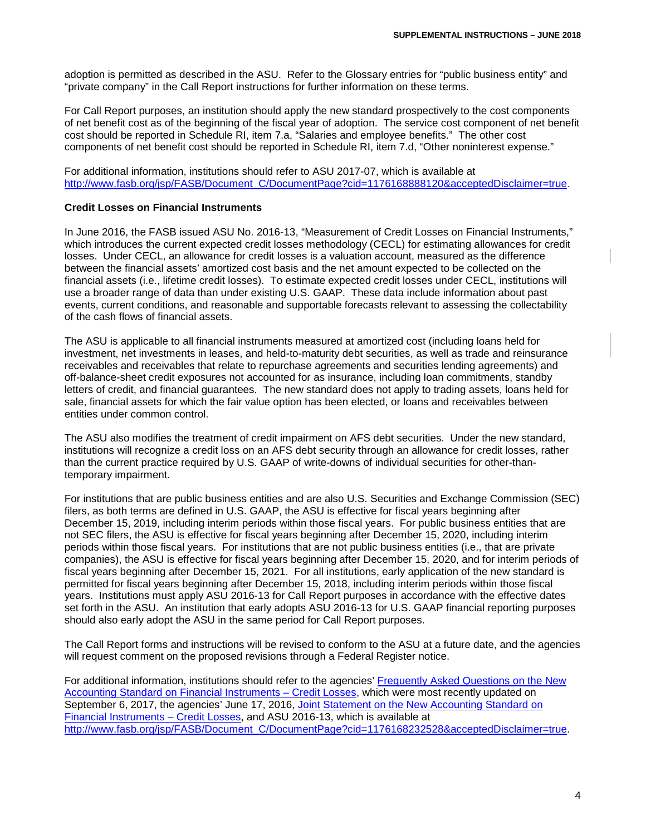adoption is permitted as described in the ASU. Refer to the Glossary entries for "public business entity" and "private company" in the Call Report instructions for further information on these terms.

For Call Report purposes, an institution should apply the new standard prospectively to the cost components of net benefit cost as of the beginning of the fiscal year of adoption. The service cost component of net benefit cost should be reported in Schedule RI, item 7.a, "Salaries and employee benefits." The other cost components of net benefit cost should be reported in Schedule RI, item 7.d, "Other noninterest expense."

For additional information, institutions should refer to ASU 2017-07, which is available at [http://www.fasb.org/jsp/FASB/Document\\_C/DocumentPage?cid=1176168888120&acceptedDisclaimer=true.](http://www.fasb.org/jsp/FASB/Document_C/DocumentPage?cid=1176168888120&acceptedDisclaimer=true)

#### **Credit Losses on Financial Instruments**

In June 2016, the FASB issued ASU No. 2016-13, "Measurement of Credit Losses on Financial Instruments," which introduces the current expected credit losses methodology (CECL) for estimating allowances for credit losses. Under CECL, an allowance for credit losses is a valuation account, measured as the difference between the financial assets' amortized cost basis and the net amount expected to be collected on the financial assets (i.e., lifetime credit losses). To estimate expected credit losses under CECL, institutions will use a broader range of data than under existing U.S. GAAP. These data include information about past events, current conditions, and reasonable and supportable forecasts relevant to assessing the collectability of the cash flows of financial assets.

The ASU is applicable to all financial instruments measured at amortized cost (including loans held for investment, net investments in leases, and held-to-maturity debt securities, as well as trade and reinsurance receivables and receivables that relate to repurchase agreements and securities lending agreements) and off-balance-sheet credit exposures not accounted for as insurance, including loan commitments, standby letters of credit, and financial guarantees. The new standard does not apply to trading assets, loans held for sale, financial assets for which the fair value option has been elected, or loans and receivables between entities under common control.

The ASU also modifies the treatment of credit impairment on AFS debt securities. Under the new standard, institutions will recognize a credit loss on an AFS debt security through an allowance for credit losses, rather than the current practice required by U.S. GAAP of write-downs of individual securities for other-thantemporary impairment.

For institutions that are public business entities and are also U.S. Securities and Exchange Commission (SEC) filers, as both terms are defined in U.S. GAAP, the ASU is effective for fiscal years beginning after December 15, 2019, including interim periods within those fiscal years. For public business entities that are not SEC filers, the ASU is effective for fiscal years beginning after December 15, 2020, including interim periods within those fiscal years. For institutions that are not public business entities (i.e., that are private companies), the ASU is effective for fiscal years beginning after December 15, 2020, and for interim periods of fiscal years beginning after December 15, 2021. For all institutions, early application of the new standard is permitted for fiscal years beginning after December 15, 2018, including interim periods within those fiscal years. Institutions must apply ASU 2016-13 for Call Report purposes in accordance with the effective dates set forth in the ASU. An institution that early adopts ASU 2016-13 for U.S. GAAP financial reporting purposes should also early adopt the ASU in the same period for Call Report purposes.

The Call Report forms and instructions will be revised to conform to the ASU at a future date, and the agencies will request comment on the proposed revisions through a Federal Register notice.

For additional information, institutions should refer to the agencies' [Frequently Asked Questions on the New](https://www.occ.treas.gov/news-issuances/bulletins/2016/bulletin-2016-45a.pdf)  [Accounting Standard on Financial Instruments –](https://www.occ.treas.gov/news-issuances/bulletins/2016/bulletin-2016-45a.pdf) Credit Losses, which were most recently updated on September 6, 2017, the agencies' June 17, 2016, [Joint Statement on the New Accounting Standard on](https://www.federalreserve.gov/newsevents/pressreleases/files/bcreg20160617b1.pdf)  [Financial Instruments –](https://www.federalreserve.gov/newsevents/pressreleases/files/bcreg20160617b1.pdf) Credit Losses, and ASU 2016-13, which is available at [http://www.fasb.org/jsp/FASB/Document\\_C/DocumentPage?cid=1176168232528&acceptedDisclaimer=true.](http://www.fasb.org/jsp/FASB/Document_C/DocumentPage?cid=1176168232528&acceptedDisclaimer=true)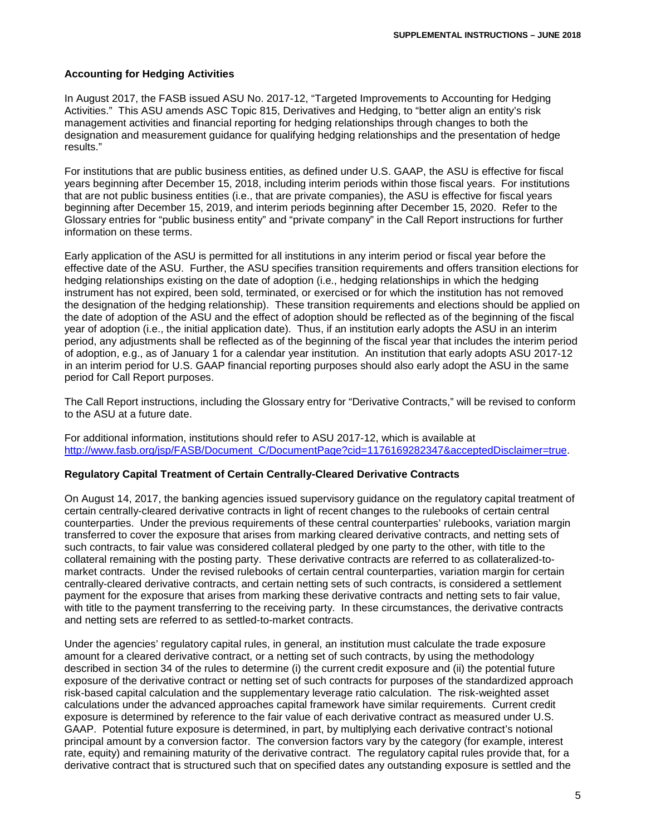# **Accounting for Hedging Activities**

In August 2017, the FASB issued ASU No. 2017-12, "Targeted Improvements to Accounting for Hedging Activities." This ASU amends ASC Topic 815, Derivatives and Hedging, to "better align an entity's risk management activities and financial reporting for hedging relationships through changes to both the designation and measurement guidance for qualifying hedging relationships and the presentation of hedge results."

For institutions that are public business entities, as defined under U.S. GAAP, the ASU is effective for fiscal years beginning after December 15, 2018, including interim periods within those fiscal years. For institutions that are not public business entities (i.e., that are private companies), the ASU is effective for fiscal years beginning after December 15, 2019, and interim periods beginning after December 15, 2020. Refer to the Glossary entries for "public business entity" and "private company" in the Call Report instructions for further information on these terms.

Early application of the ASU is permitted for all institutions in any interim period or fiscal year before the effective date of the ASU. Further, the ASU specifies transition requirements and offers transition elections for hedging relationships existing on the date of adoption (i.e., hedging relationships in which the hedging instrument has not expired, been sold, terminated, or exercised or for which the institution has not removed the designation of the hedging relationship). These transition requirements and elections should be applied on the date of adoption of the ASU and the effect of adoption should be reflected as of the beginning of the fiscal year of adoption (i.e., the initial application date). Thus, if an institution early adopts the ASU in an interim period, any adjustments shall be reflected as of the beginning of the fiscal year that includes the interim period of adoption, e.g., as of January 1 for a calendar year institution. An institution that early adopts ASU 2017-12 in an interim period for U.S. GAAP financial reporting purposes should also early adopt the ASU in the same period for Call Report purposes.

The Call Report instructions, including the Glossary entry for "Derivative Contracts," will be revised to conform to the ASU at a future date.

For additional information, institutions should refer to ASU 2017-12, which is available at http://www.fasb.org/isp/FASB/Document\_C/DocumentPage?cid=1176169282347&acceptedDisclaimer=true.

#### **Regulatory Capital Treatment of Certain Centrally-Cleared Derivative Contracts**

On August 14, 2017, the banking agencies issued supervisory guidance on the regulatory capital treatment of certain centrally-cleared derivative contracts in light of recent changes to the rulebooks of certain central counterparties. Under the previous requirements of these central counterparties' rulebooks, variation margin transferred to cover the exposure that arises from marking cleared derivative contracts, and netting sets of such contracts, to fair value was considered collateral pledged by one party to the other, with title to the collateral remaining with the posting party. These derivative contracts are referred to as collateralized-tomarket contracts. Under the revised rulebooks of certain central counterparties, variation margin for certain centrally-cleared derivative contracts, and certain netting sets of such contracts, is considered a settlement payment for the exposure that arises from marking these derivative contracts and netting sets to fair value, with title to the payment transferring to the receiving party. In these circumstances, the derivative contracts and netting sets are referred to as settled-to-market contracts.

Under the agencies' regulatory capital rules, in general, an institution must calculate the trade exposure amount for a cleared derivative contract, or a netting set of such contracts, by using the methodology described in section 34 of the rules to determine (i) the current credit exposure and (ii) the potential future exposure of the derivative contract or netting set of such contracts for purposes of the standardized approach risk-based capital calculation and the supplementary leverage ratio calculation. The risk-weighted asset calculations under the advanced approaches capital framework have similar requirements. Current credit exposure is determined by reference to the fair value of each derivative contract as measured under U.S. GAAP. Potential future exposure is determined, in part, by multiplying each derivative contract's notional principal amount by a conversion factor. The conversion factors vary by the category (for example, interest rate, equity) and remaining maturity of the derivative contract. The regulatory capital rules provide that, for a derivative contract that is structured such that on specified dates any outstanding exposure is settled and the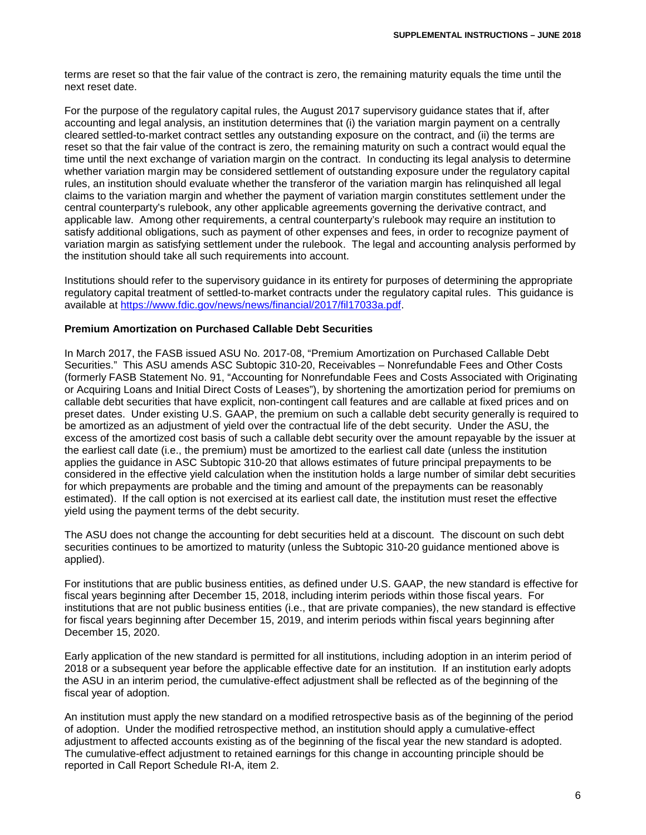terms are reset so that the fair value of the contract is zero, the remaining maturity equals the time until the next reset date.

For the purpose of the regulatory capital rules, the August 2017 supervisory guidance states that if, after accounting and legal analysis, an institution determines that (i) the variation margin payment on a centrally cleared settled-to-market contract settles any outstanding exposure on the contract, and (ii) the terms are reset so that the fair value of the contract is zero, the remaining maturity on such a contract would equal the time until the next exchange of variation margin on the contract. In conducting its legal analysis to determine whether variation margin may be considered settlement of outstanding exposure under the regulatory capital rules, an institution should evaluate whether the transferor of the variation margin has relinquished all legal claims to the variation margin and whether the payment of variation margin constitutes settlement under the central counterparty's rulebook, any other applicable agreements governing the derivative contract, and applicable law. Among other requirements, a central counterparty's rulebook may require an institution to satisfy additional obligations, such as payment of other expenses and fees, in order to recognize payment of variation margin as satisfying settlement under the rulebook. The legal and accounting analysis performed by the institution should take all such requirements into account.

Institutions should refer to the supervisory guidance in its entirety for purposes of determining the appropriate regulatory capital treatment of settled-to-market contracts under the regulatory capital rules. This guidance is available at [https://www.fdic.gov/news/news/financial/2017/fil17033a.pdf.](https://www.fdic.gov/news/news/financial/2017/fil17033a.pdf)

#### **Premium Amortization on Purchased Callable Debt Securities**

In March 2017, the FASB issued ASU No. 2017-08, "Premium Amortization on Purchased Callable Debt Securities." This ASU amends ASC Subtopic 310-20, Receivables – Nonrefundable Fees and Other Costs (formerly FASB Statement No. 91, "Accounting for Nonrefundable Fees and Costs Associated with Originating or Acquiring Loans and Initial Direct Costs of Leases"), by shortening the amortization period for premiums on callable debt securities that have explicit, non-contingent call features and are callable at fixed prices and on preset dates. Under existing U.S. GAAP, the premium on such a callable debt security generally is required to be amortized as an adjustment of yield over the contractual life of the debt security. Under the ASU, the excess of the amortized cost basis of such a callable debt security over the amount repayable by the issuer at the earliest call date (i.e., the premium) must be amortized to the earliest call date (unless the institution applies the guidance in ASC Subtopic 310-20 that allows estimates of future principal prepayments to be considered in the effective yield calculation when the institution holds a large number of similar debt securities for which prepayments are probable and the timing and amount of the prepayments can be reasonably estimated). If the call option is not exercised at its earliest call date, the institution must reset the effective yield using the payment terms of the debt security.

The ASU does not change the accounting for debt securities held at a discount. The discount on such debt securities continues to be amortized to maturity (unless the Subtopic 310-20 guidance mentioned above is applied).

For institutions that are public business entities, as defined under U.S. GAAP, the new standard is effective for fiscal years beginning after December 15, 2018, including interim periods within those fiscal years. For institutions that are not public business entities (i.e., that are private companies), the new standard is effective for fiscal years beginning after December 15, 2019, and interim periods within fiscal years beginning after December 15, 2020.

Early application of the new standard is permitted for all institutions, including adoption in an interim period of 2018 or a subsequent year before the applicable effective date for an institution. If an institution early adopts the ASU in an interim period, the cumulative-effect adjustment shall be reflected as of the beginning of the fiscal year of adoption.

An institution must apply the new standard on a modified retrospective basis as of the beginning of the period of adoption. Under the modified retrospective method, an institution should apply a cumulative-effect adjustment to affected accounts existing as of the beginning of the fiscal year the new standard is adopted. The cumulative-effect adjustment to retained earnings for this change in accounting principle should be reported in Call Report Schedule RI-A, item 2.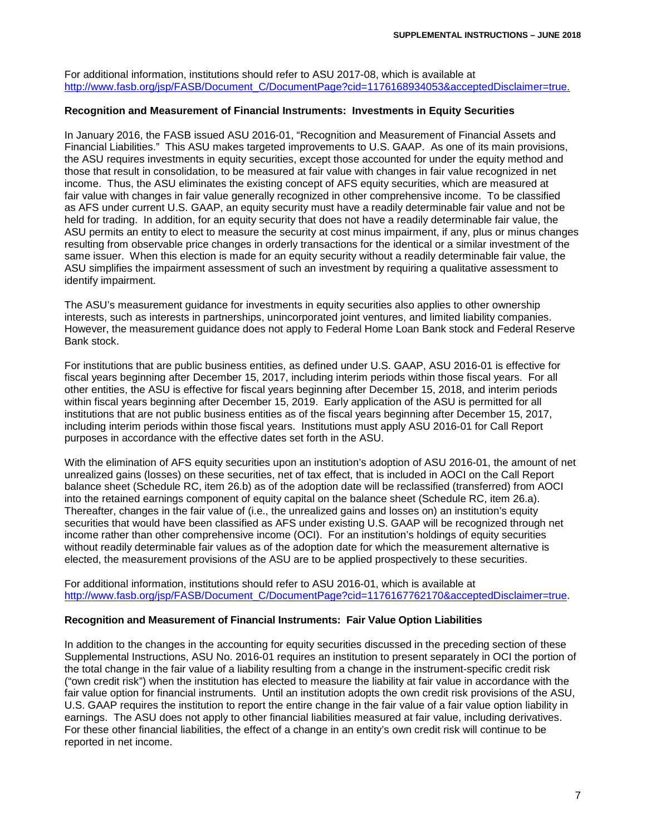For additional information, institutions should refer to ASU 2017-08, which is available at [http://www.fasb.org/jsp/FASB/Document\\_C/DocumentPage?cid=1176168934053&acceptedDisclaimer=true.](http://www.fasb.org/jsp/FASB/Document_C/DocumentPage?cid=1176168934053&acceptedDisclaimer=true)

#### **Recognition and Measurement of Financial Instruments: Investments in Equity Securities**

In January 2016, the FASB issued ASU 2016-01, "Recognition and Measurement of Financial Assets and Financial Liabilities." This ASU makes targeted improvements to U.S. GAAP. As one of its main provisions, the ASU requires investments in equity securities, except those accounted for under the equity method and those that result in consolidation, to be measured at fair value with changes in fair value recognized in net income. Thus, the ASU eliminates the existing concept of AFS equity securities, which are measured at fair value with changes in fair value generally recognized in other comprehensive income. To be classified as AFS under current U.S. GAAP, an equity security must have a readily determinable fair value and not be held for trading. In addition, for an equity security that does not have a readily determinable fair value, the ASU permits an entity to elect to measure the security at cost minus impairment, if any, plus or minus changes resulting from observable price changes in orderly transactions for the identical or a similar investment of the same issuer. When this election is made for an equity security without a readily determinable fair value, the ASU simplifies the impairment assessment of such an investment by requiring a qualitative assessment to identify impairment.

The ASU's measurement guidance for investments in equity securities also applies to other ownership interests, such as interests in partnerships, unincorporated joint ventures, and limited liability companies. However, the measurement guidance does not apply to Federal Home Loan Bank stock and Federal Reserve Bank stock.

For institutions that are public business entities, as defined under U.S. GAAP, ASU 2016-01 is effective for fiscal years beginning after December 15, 2017, including interim periods within those fiscal years. For all other entities, the ASU is effective for fiscal years beginning after December 15, 2018, and interim periods within fiscal years beginning after December 15, 2019. Early application of the ASU is permitted for all institutions that are not public business entities as of the fiscal years beginning after December 15, 2017, including interim periods within those fiscal years. Institutions must apply ASU 2016-01 for Call Report purposes in accordance with the effective dates set forth in the ASU.

With the elimination of AFS equity securities upon an institution's adoption of ASU 2016-01, the amount of net unrealized gains (losses) on these securities, net of tax effect, that is included in AOCI on the Call Report balance sheet (Schedule RC, item 26.b) as of the adoption date will be reclassified (transferred) from AOCI into the retained earnings component of equity capital on the balance sheet (Schedule RC, item 26.a). Thereafter, changes in the fair value of (i.e., the unrealized gains and losses on) an institution's equity securities that would have been classified as AFS under existing U.S. GAAP will be recognized through net income rather than other comprehensive income (OCI). For an institution's holdings of equity securities without readily determinable fair values as of the adoption date for which the measurement alternative is elected, the measurement provisions of the ASU are to be applied prospectively to these securities.

For additional information, institutions should refer to ASU 2016-01, which is available at [http://www.fasb.org/jsp/FASB/Document\\_C/DocumentPage?cid=1176167762170&acceptedDisclaimer=true.](http://www.fasb.org/jsp/FASB/Document_C/DocumentPage?cid=1176167762170&acceptedDisclaimer=true)

#### **Recognition and Measurement of Financial Instruments: Fair Value Option Liabilities**

In addition to the changes in the accounting for equity securities discussed in the preceding section of these Supplemental Instructions, ASU No. 2016-01 requires an institution to present separately in OCI the portion of the total change in the fair value of a liability resulting from a change in the instrument-specific credit risk ("own credit risk") when the institution has elected to measure the liability at fair value in accordance with the fair value option for financial instruments. Until an institution adopts the own credit risk provisions of the ASU, U.S. GAAP requires the institution to report the entire change in the fair value of a fair value option liability in earnings. The ASU does not apply to other financial liabilities measured at fair value, including derivatives. For these other financial liabilities, the effect of a change in an entity's own credit risk will continue to be reported in net income.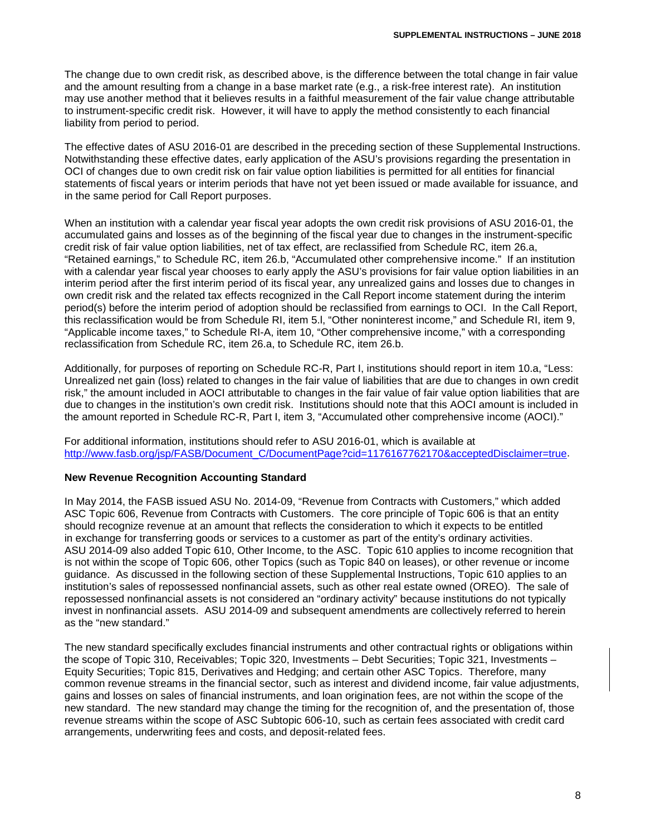The change due to own credit risk, as described above, is the difference between the total change in fair value and the amount resulting from a change in a base market rate (e.g., a risk-free interest rate). An institution may use another method that it believes results in a faithful measurement of the fair value change attributable to instrument-specific credit risk. However, it will have to apply the method consistently to each financial liability from period to period.

The effective dates of ASU 2016-01 are described in the preceding section of these Supplemental Instructions. Notwithstanding these effective dates, early application of the ASU's provisions regarding the presentation in OCI of changes due to own credit risk on fair value option liabilities is permitted for all entities for financial statements of fiscal years or interim periods that have not yet been issued or made available for issuance, and in the same period for Call Report purposes.

When an institution with a calendar year fiscal year adopts the own credit risk provisions of ASU 2016-01, the accumulated gains and losses as of the beginning of the fiscal year due to changes in the instrument-specific credit risk of fair value option liabilities, net of tax effect, are reclassified from Schedule RC, item 26.a, "Retained earnings," to Schedule RC, item 26.b, "Accumulated other comprehensive income." If an institution with a calendar year fiscal year chooses to early apply the ASU's provisions for fair value option liabilities in an interim period after the first interim period of its fiscal year, any unrealized gains and losses due to changes in own credit risk and the related tax effects recognized in the Call Report income statement during the interim period(s) before the interim period of adoption should be reclassified from earnings to OCI. In the Call Report, this reclassification would be from Schedule RI, item 5.l, "Other noninterest income," and Schedule RI, item 9, "Applicable income taxes," to Schedule RI-A, item 10, "Other comprehensive income," with a corresponding reclassification from Schedule RC, item 26.a, to Schedule RC, item 26.b.

Additionally, for purposes of reporting on Schedule RC-R, Part I, institutions should report in item 10.a, "Less: Unrealized net gain (loss) related to changes in the fair value of liabilities that are due to changes in own credit risk," the amount included in AOCI attributable to changes in the fair value of fair value option liabilities that are due to changes in the institution's own credit risk. Institutions should note that this AOCI amount is included in the amount reported in Schedule RC-R, Part I, item 3, "Accumulated other comprehensive income (AOCI)."

For additional information, institutions should refer to ASU 2016-01, which is available at [http://www.fasb.org/jsp/FASB/Document\\_C/DocumentPage?cid=1176167762170&acceptedDisclaimer=true.](http://www.fasb.org/jsp/FASB/Document_C/DocumentPage?cid=1176167762170&acceptedDisclaimer=true)

#### **New Revenue Recognition Accounting Standard**

In May 2014, the FASB issued ASU No. 2014-09, "Revenue from Contracts with Customers," which added ASC Topic 606, Revenue from Contracts with Customers. The core principle of Topic 606 is that an entity should recognize revenue at an amount that reflects the consideration to which it expects to be entitled in exchange for transferring goods or services to a customer as part of the entity's ordinary activities. ASU 2014-09 also added Topic 610, Other Income, to the ASC. Topic 610 applies to income recognition that is not within the scope of Topic 606, other Topics (such as Topic 840 on leases), or other revenue or income guidance. As discussed in the following section of these Supplemental Instructions, Topic 610 applies to an institution's sales of repossessed nonfinancial assets, such as other real estate owned (OREO). The sale of repossessed nonfinancial assets is not considered an "ordinary activity" because institutions do not typically invest in nonfinancial assets. ASU 2014-09 and subsequent amendments are collectively referred to herein as the "new standard."

The new standard specifically excludes financial instruments and other contractual rights or obligations within the scope of Topic 310, Receivables; Topic 320, Investments – Debt Securities; Topic 321, Investments – Equity Securities; Topic 815, Derivatives and Hedging; and certain other ASC Topics. Therefore, many common revenue streams in the financial sector, such as interest and dividend income, fair value adjustments, gains and losses on sales of financial instruments, and loan origination fees, are not within the scope of the new standard. The new standard may change the timing for the recognition of, and the presentation of, those revenue streams within the scope of ASC Subtopic 606-10, such as certain fees associated with credit card arrangements, underwriting fees and costs, and deposit-related fees.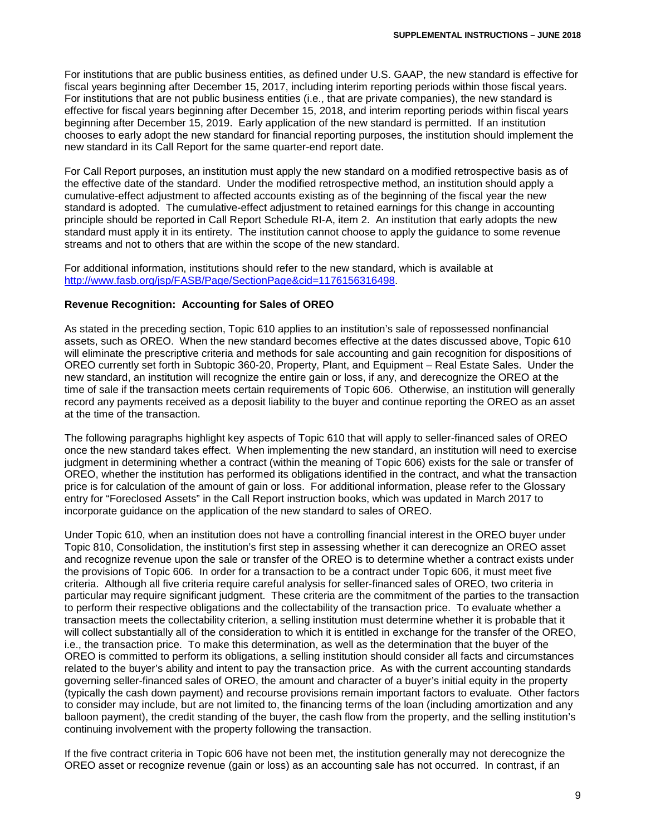For institutions that are public business entities, as defined under U.S. GAAP, the new standard is effective for fiscal years beginning after December 15, 2017, including interim reporting periods within those fiscal years. For institutions that are not public business entities (i.e., that are private companies), the new standard is effective for fiscal years beginning after December 15, 2018, and interim reporting periods within fiscal years beginning after December 15, 2019. Early application of the new standard is permitted. If an institution chooses to early adopt the new standard for financial reporting purposes, the institution should implement the new standard in its Call Report for the same quarter-end report date.

For Call Report purposes, an institution must apply the new standard on a modified retrospective basis as of the effective date of the standard. Under the modified retrospective method, an institution should apply a cumulative-effect adjustment to affected accounts existing as of the beginning of the fiscal year the new standard is adopted. The cumulative-effect adjustment to retained earnings for this change in accounting principle should be reported in Call Report Schedule RI-A, item 2. An institution that early adopts the new standard must apply it in its entirety. The institution cannot choose to apply the guidance to some revenue streams and not to others that are within the scope of the new standard.

For additional information, institutions should refer to the new standard, which is available at [http://www.fasb.org/jsp/FASB/Page/SectionPage&cid=1176156316498.](http://www.fasb.org/jsp/FASB/Page/SectionPage&cid=1176156316498)

#### **Revenue Recognition: Accounting for Sales of OREO**

As stated in the preceding section, Topic 610 applies to an institution's sale of repossessed nonfinancial assets, such as OREO. When the new standard becomes effective at the dates discussed above, Topic 610 will eliminate the prescriptive criteria and methods for sale accounting and gain recognition for dispositions of OREO currently set forth in Subtopic 360-20, Property, Plant, and Equipment – Real Estate Sales. Under the new standard, an institution will recognize the entire gain or loss, if any, and derecognize the OREO at the time of sale if the transaction meets certain requirements of Topic 606. Otherwise, an institution will generally record any payments received as a deposit liability to the buyer and continue reporting the OREO as an asset at the time of the transaction.

The following paragraphs highlight key aspects of Topic 610 that will apply to seller-financed sales of OREO once the new standard takes effect. When implementing the new standard, an institution will need to exercise judgment in determining whether a contract (within the meaning of Topic 606) exists for the sale or transfer of OREO, whether the institution has performed its obligations identified in the contract, and what the transaction price is for calculation of the amount of gain or loss. For additional information, please refer to the Glossary entry for "Foreclosed Assets" in the Call Report instruction books, which was updated in March 2017 to incorporate guidance on the application of the new standard to sales of OREO.

Under Topic 610, when an institution does not have a controlling financial interest in the OREO buyer under Topic 810, Consolidation, the institution's first step in assessing whether it can derecognize an OREO asset and recognize revenue upon the sale or transfer of the OREO is to determine whether a contract exists under the provisions of Topic 606. In order for a transaction to be a contract under Topic 606, it must meet five criteria. Although all five criteria require careful analysis for seller-financed sales of OREO, two criteria in particular may require significant judgment. These criteria are the commitment of the parties to the transaction to perform their respective obligations and the collectability of the transaction price. To evaluate whether a transaction meets the collectability criterion, a selling institution must determine whether it is probable that it will collect substantially all of the consideration to which it is entitled in exchange for the transfer of the OREO, i.e., the transaction price. To make this determination, as well as the determination that the buyer of the OREO is committed to perform its obligations, a selling institution should consider all facts and circumstances related to the buyer's ability and intent to pay the transaction price. As with the current accounting standards governing seller-financed sales of OREO, the amount and character of a buyer's initial equity in the property (typically the cash down payment) and recourse provisions remain important factors to evaluate. Other factors to consider may include, but are not limited to, the financing terms of the loan (including amortization and any balloon payment), the credit standing of the buyer, the cash flow from the property, and the selling institution's continuing involvement with the property following the transaction.

If the five contract criteria in Topic 606 have not been met, the institution generally may not derecognize the OREO asset or recognize revenue (gain or loss) as an accounting sale has not occurred. In contrast, if an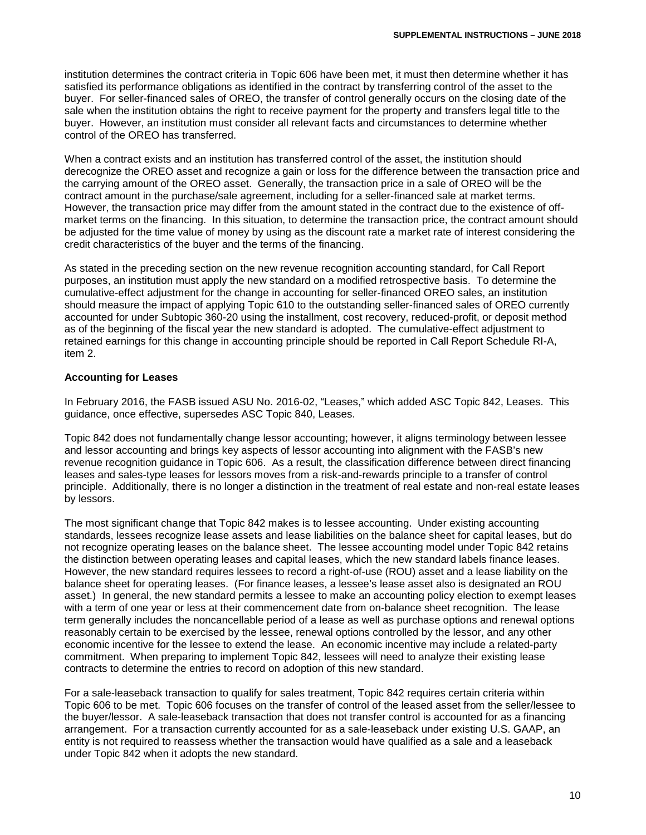institution determines the contract criteria in Topic 606 have been met, it must then determine whether it has satisfied its performance obligations as identified in the contract by transferring control of the asset to the buyer. For seller-financed sales of OREO, the transfer of control generally occurs on the closing date of the sale when the institution obtains the right to receive payment for the property and transfers legal title to the buyer. However, an institution must consider all relevant facts and circumstances to determine whether control of the OREO has transferred.

When a contract exists and an institution has transferred control of the asset, the institution should derecognize the OREO asset and recognize a gain or loss for the difference between the transaction price and the carrying amount of the OREO asset. Generally, the transaction price in a sale of OREO will be the contract amount in the purchase/sale agreement, including for a seller-financed sale at market terms. However, the transaction price may differ from the amount stated in the contract due to the existence of offmarket terms on the financing. In this situation, to determine the transaction price, the contract amount should be adjusted for the time value of money by using as the discount rate a market rate of interest considering the credit characteristics of the buyer and the terms of the financing.

As stated in the preceding section on the new revenue recognition accounting standard, for Call Report purposes, an institution must apply the new standard on a modified retrospective basis. To determine the cumulative-effect adjustment for the change in accounting for seller-financed OREO sales, an institution should measure the impact of applying Topic 610 to the outstanding seller-financed sales of OREO currently accounted for under Subtopic 360-20 using the installment, cost recovery, reduced-profit, or deposit method as of the beginning of the fiscal year the new standard is adopted. The cumulative-effect adjustment to retained earnings for this change in accounting principle should be reported in Call Report Schedule RI-A, item 2.

# **Accounting for Leases**

In February 2016, the FASB issued ASU No. 2016-02, "Leases," which added ASC Topic 842, Leases. This guidance, once effective, supersedes ASC Topic 840, Leases.

Topic 842 does not fundamentally change lessor accounting; however, it aligns terminology between lessee and lessor accounting and brings key aspects of lessor accounting into alignment with the FASB's new revenue recognition guidance in Topic 606. As a result, the classification difference between direct financing leases and sales-type leases for lessors moves from a risk-and-rewards principle to a transfer of control principle. Additionally, there is no longer a distinction in the treatment of real estate and non-real estate leases by lessors.

The most significant change that Topic 842 makes is to lessee accounting. Under existing accounting standards, lessees recognize lease assets and lease liabilities on the balance sheet for capital leases, but do not recognize operating leases on the balance sheet. The lessee accounting model under Topic 842 retains the distinction between operating leases and capital leases, which the new standard labels finance leases. However, the new standard requires lessees to record a right-of-use (ROU) asset and a lease liability on the balance sheet for operating leases. (For finance leases, a lessee's lease asset also is designated an ROU asset.) In general, the new standard permits a lessee to make an accounting policy election to exempt leases with a term of one year or less at their commencement date from on-balance sheet recognition. The lease term generally includes the noncancellable period of a lease as well as purchase options and renewal options reasonably certain to be exercised by the lessee, renewal options controlled by the lessor, and any other economic incentive for the lessee to extend the lease. An economic incentive may include a related-party commitment. When preparing to implement Topic 842, lessees will need to analyze their existing lease contracts to determine the entries to record on adoption of this new standard.

For a sale-leaseback transaction to qualify for sales treatment, Topic 842 requires certain criteria within Topic 606 to be met. Topic 606 focuses on the transfer of control of the leased asset from the seller/lessee to the buyer/lessor. A sale-leaseback transaction that does not transfer control is accounted for as a financing arrangement. For a transaction currently accounted for as a sale-leaseback under existing U.S. GAAP, an entity is not required to reassess whether the transaction would have qualified as a sale and a leaseback under Topic 842 when it adopts the new standard.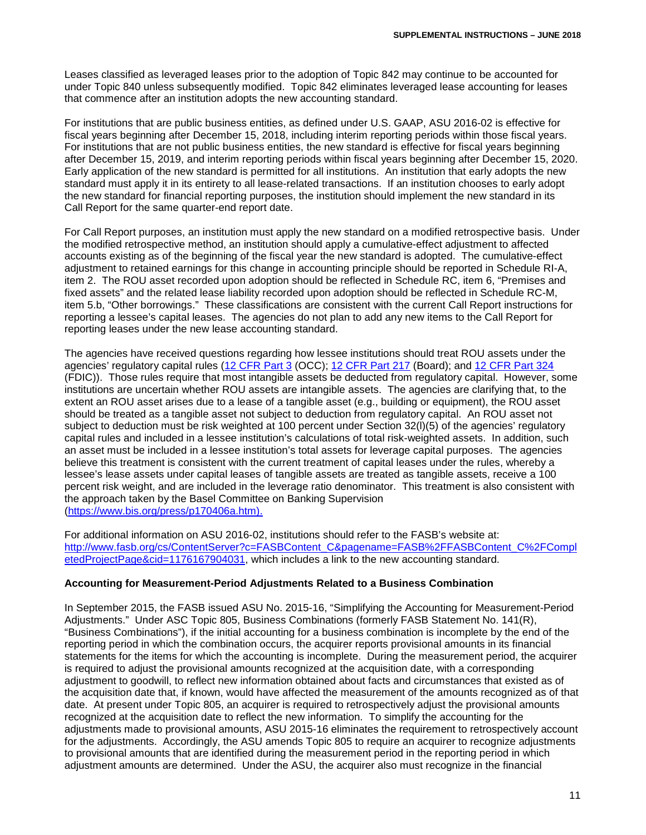Leases classified as leveraged leases prior to the adoption of Topic 842 may continue to be accounted for under Topic 840 unless subsequently modified. Topic 842 eliminates leveraged lease accounting for leases that commence after an institution adopts the new accounting standard.

For institutions that are public business entities, as defined under U.S. GAAP, ASU 2016-02 is effective for fiscal years beginning after December 15, 2018, including interim reporting periods within those fiscal years. For institutions that are not public business entities, the new standard is effective for fiscal years beginning after December 15, 2019, and interim reporting periods within fiscal years beginning after December 15, 2020. Early application of the new standard is permitted for all institutions. An institution that early adopts the new standard must apply it in its entirety to all lease-related transactions. If an institution chooses to early adopt the new standard for financial reporting purposes, the institution should implement the new standard in its Call Report for the same quarter-end report date.

For Call Report purposes, an institution must apply the new standard on a modified retrospective basis. Under the modified retrospective method, an institution should apply a cumulative-effect adjustment to affected accounts existing as of the beginning of the fiscal year the new standard is adopted. The cumulative-effect adjustment to retained earnings for this change in accounting principle should be reported in Schedule RI-A, item 2. The ROU asset recorded upon adoption should be reflected in Schedule RC, item 6, "Premises and fixed assets" and the related lease liability recorded upon adoption should be reflected in Schedule RC-M, item 5.b, "Other borrowings." These classifications are consistent with the current Call Report instructions for reporting a lessee's capital leases. The agencies do not plan to add any new items to the Call Report for reporting leases under the new lease accounting standard.

The agencies have received questions regarding how lessee institutions should treat ROU assets under the agencies' regulatory capital rules [\(12 CFR Part 3](https://www.ecfr.gov/cgi-bin/text-idx?SID=6a4386753d17214d1170526af6423e67&mc=true&node=pt12.1.3&rgn=div5) (OCC); [12 CFR Part 217](https://www.ecfr.gov/cgi-bin/text-idx?SID=6a4386753d17214d1170526af6423e67&mc=true&node=pt12.2.217&rgn=div5) (Board); and [12 CFR Part 324](https://www.ecfr.gov/cgi-bin/text-idx?SID=6a4386753d17214d1170526af6423e67&mc=true&node=pt12.5.324&rgn=div5) (FDIC)). Those rules require that most intangible assets be deducted from regulatory capital. However, some institutions are uncertain whether ROU assets are intangible assets. The agencies are clarifying that, to the extent an ROU asset arises due to a lease of a tangible asset (e.g., building or equipment), the ROU asset should be treated as a tangible asset not subject to deduction from regulatory capital. An ROU asset not subject to deduction must be risk weighted at 100 percent under Section 32(l)(5) of the agencies' regulatory capital rules and included in a lessee institution's calculations of total risk-weighted assets. In addition, such an asset must be included in a lessee institution's total assets for leverage capital purposes. The agencies believe this treatment is consistent with the current treatment of capital leases under the rules, whereby a lessee's lease assets under capital leases of tangible assets are treated as tangible assets, receive a 100 percent risk weight, and are included in the leverage ratio denominator. This treatment is also consistent with the approach taken by the Basel Committee on Banking Supervision [\(https://www.bis.org/press/p170406a.htm\)](https://www.bis.org/press/p170406a.htm).

For additional information on ASU 2016-02, institutions should refer to the FASB's website at: [http://www.fasb.org/cs/ContentServer?c=FASBContent\\_C&pagename=FASB%2FFASBContent\\_C%2FCompl](http://www.fasb.org/cs/ContentServer?c=FASBContent_C&pagename=FASB%2FFASBContent_C%2FCompletedProjectPage&cid=1176167904031) [etedProjectPage&cid=1176167904031,](http://www.fasb.org/cs/ContentServer?c=FASBContent_C&pagename=FASB%2FFASBContent_C%2FCompletedProjectPage&cid=1176167904031) which includes a link to the new accounting standard.

#### **Accounting for Measurement-Period Adjustments Related to a Business Combination**

In September 2015, the FASB issued ASU No. 2015-16, "Simplifying the Accounting for Measurement-Period Adjustments." Under ASC Topic 805, Business Combinations (formerly FASB Statement No. 141(R), "Business Combinations"), if the initial accounting for a business combination is incomplete by the end of the reporting period in which the combination occurs, the acquirer reports provisional amounts in its financial statements for the items for which the accounting is incomplete. During the measurement period, the acquirer is required to adjust the provisional amounts recognized at the acquisition date, with a corresponding adjustment to goodwill, to reflect new information obtained about facts and circumstances that existed as of the acquisition date that, if known, would have affected the measurement of the amounts recognized as of that date. At present under Topic 805, an acquirer is required to retrospectively adjust the provisional amounts recognized at the acquisition date to reflect the new information. To simplify the accounting for the adjustments made to provisional amounts, ASU 2015-16 eliminates the requirement to retrospectively account for the adjustments. Accordingly, the ASU amends Topic 805 to require an acquirer to recognize adjustments to provisional amounts that are identified during the measurement period in the reporting period in which adjustment amounts are determined. Under the ASU, the acquirer also must recognize in the financial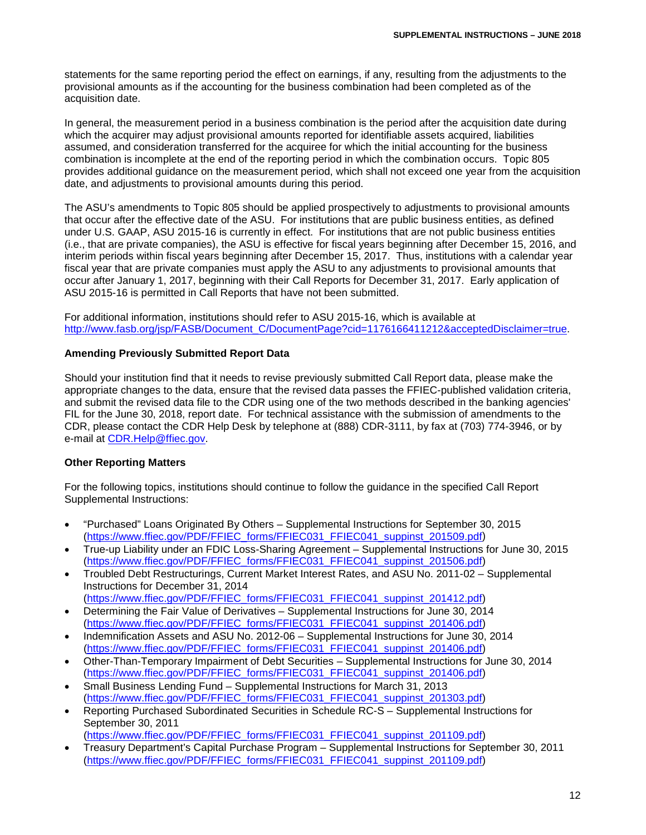statements for the same reporting period the effect on earnings, if any, resulting from the adjustments to the provisional amounts as if the accounting for the business combination had been completed as of the acquisition date.

In general, the measurement period in a business combination is the period after the acquisition date during which the acquirer may adjust provisional amounts reported for identifiable assets acquired, liabilities assumed, and consideration transferred for the acquiree for which the initial accounting for the business combination is incomplete at the end of the reporting period in which the combination occurs. Topic 805 provides additional guidance on the measurement period, which shall not exceed one year from the acquisition date, and adjustments to provisional amounts during this period.

The ASU's amendments to Topic 805 should be applied prospectively to adjustments to provisional amounts that occur after the effective date of the ASU. For institutions that are public business entities, as defined under U.S. GAAP, ASU 2015-16 is currently in effect. For institutions that are not public business entities (i.e., that are private companies), the ASU is effective for fiscal years beginning after December 15, 2016, and interim periods within fiscal years beginning after December 15, 2017. Thus, institutions with a calendar year fiscal year that are private companies must apply the ASU to any adjustments to provisional amounts that occur after January 1, 2017, beginning with their Call Reports for December 31, 2017. Early application of ASU 2015-16 is permitted in Call Reports that have not been submitted.

For additional information, institutions should refer to ASU 2015-16, which is available at [http://www.fasb.org/jsp/FASB/Document\\_C/DocumentPage?cid=1176166411212&acceptedDisclaimer=true.](http://www.fasb.org/jsp/FASB/Document_C/DocumentPage?cid=1176166411212&acceptedDisclaimer=true)

#### **Amending Previously Submitted Report Data**

Should your institution find that it needs to revise previously submitted Call Report data, please make the appropriate changes to the data, ensure that the revised data passes the FFIEC-published validation criteria, and submit the revised data file to the CDR using one of the two methods described in the banking agencies' FIL for the June 30, 2018, report date. For technical assistance with the submission of amendments to the CDR, please contact the CDR Help Desk by telephone at (888) CDR-3111, by fax at (703) 774-3946, or by e-mail at [CDR.Help@ffiec.gov.](mailto:CDR.Help@ffiec.gov)

#### **Other Reporting Matters**

For the following topics, institutions should continue to follow the guidance in the specified Call Report Supplemental Instructions:

- "Purchased" Loans Originated By Others Supplemental Instructions for September 30, 2015 [\(https://www.ffiec.gov/PDF/FFIEC\\_forms/FFIEC031\\_FFIEC041\\_suppinst\\_201509.pdf\)](https://www.ffiec.gov/PDF/FFIEC_forms/FFIEC031_FFIEC041_suppinst_201509.pdf)
- True-up Liability under an FDIC Loss-Sharing Agreement Supplemental Instructions for June 30, 2015 [\(https://www.ffiec.gov/PDF/FFIEC\\_forms/FFIEC031\\_FFIEC041\\_suppinst\\_201506.pdf\)](https://www.ffiec.gov/PDF/FFIEC_forms/FFIEC031_FFIEC041_suppinst_201506.pdf)
- Troubled Debt Restructurings, Current Market Interest Rates, and ASU No. 2011-02 Supplemental Instructions for December 31, 2014 [\(https://www.ffiec.gov/PDF/FFIEC\\_forms/FFIEC031\\_FFIEC041\\_suppinst\\_201412.pdf\)](https://www.ffiec.gov/PDF/FFIEC_forms/FFIEC031_FFIEC041_suppinst_201412.pdf)
- Determining the Fair Value of Derivatives Supplemental Instructions for June 30, 2014 [\(https://www.ffiec.gov/PDF/FFIEC\\_forms/FFIEC031\\_FFIEC041\\_suppinst\\_201406.pdf\)](https://www.ffiec.gov/PDF/FFIEC_forms/FFIEC031_FFIEC041_suppinst_201406.pdf)
- Indemnification Assets and ASU No. 2012-06 Supplemental Instructions for June 30, 2014 [\(https://www.ffiec.gov/PDF/FFIEC\\_forms/FFIEC031\\_FFIEC041\\_suppinst\\_201406.pdf\)](https://www.ffiec.gov/PDF/FFIEC_forms/FFIEC031_FFIEC041_suppinst_201406.pdf)
- Other-Than-Temporary Impairment of Debt Securities Supplemental Instructions for June 30, 2014 [\(https://www.ffiec.gov/PDF/FFIEC\\_forms/FFIEC031\\_FFIEC041\\_suppinst\\_201406.pdf\)](https://www.ffiec.gov/PDF/FFIEC_forms/FFIEC031_FFIEC041_suppinst_201406.pdf)
- Small Business Lending Fund Supplemental Instructions for March 31, 2013 [\(https://www.ffiec.gov/PDF/FFIEC\\_forms/FFIEC031\\_FFIEC041\\_suppinst\\_201303.pdf\)](https://www.ffiec.gov/PDF/FFIEC_forms/FFIEC031_FFIEC041_suppinst_201303.pdf)
- Reporting Purchased Subordinated Securities in Schedule RC-S Supplemental Instructions for September 30, 2011

[\(https://www.ffiec.gov/PDF/FFIEC\\_forms/FFIEC031\\_FFIEC041\\_suppinst\\_201109.pdf\)](https://www.ffiec.gov/PDF/FFIEC_forms/FFIEC031_FFIEC041_suppinst_201109.pdf)

• Treasury Department's Capital Purchase Program – Supplemental Instructions for September 30, 2011 [\(https://www.ffiec.gov/PDF/FFIEC\\_forms/FFIEC031\\_FFIEC041\\_suppinst\\_201109.pdf\)](https://www.ffiec.gov/PDF/FFIEC_forms/FFIEC031_FFIEC041_suppinst_201109.pdf)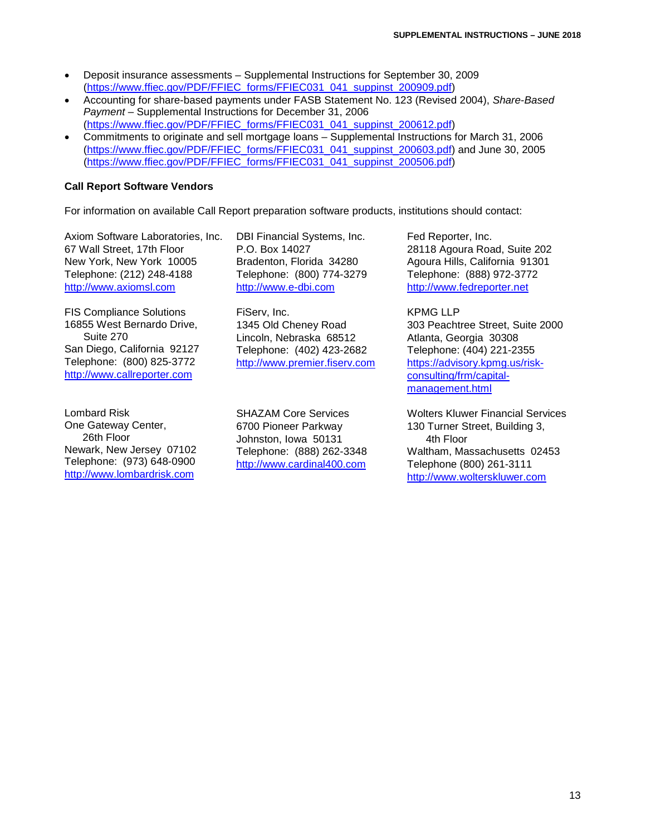- Deposit insurance assessments Supplemental Instructions for September 30, 2009 [\(https://www.ffiec.gov/PDF/FFIEC\\_forms/FFIEC031\\_041\\_suppinst\\_200909.pdf\)](https://www.ffiec.gov/PDF/FFIEC_forms/FFIEC031_041_suppinst_200909.pdf)
- Accounting for share-based payments under FASB Statement No. 123 (Revised 2004), *Share-Based Payment* – Supplemental Instructions for December 31, 2006 [\(https://www.ffiec.gov/PDF/FFIEC\\_forms/FFIEC031\\_041\\_suppinst\\_200612.pdf\)](https://www.ffiec.gov/PDF/FFIEC_forms/FFIEC031_041_suppinst_200612.pdf)
- Commitments to originate and sell mortgage loans Supplemental Instructions for March 31, 2006 [\(https://www.ffiec.gov/PDF/FFIEC\\_forms/FFIEC031\\_041\\_suppinst\\_200603.pdf\)](https://www.ffiec.gov/PDF/FFIEC_forms/FFIEC031_041_suppinst_200603.pdf) and June 30, 2005 [\(https://www.ffiec.gov/PDF/FFIEC\\_forms/FFIEC031\\_041\\_suppinst\\_200506.pdf\)](https://www.ffiec.gov/PDF/FFIEC_forms/FFIEC031_041_suppinst_200506.pdf)

# **Call Report Software Vendors**

For information on available Call Report preparation software products, institutions should contact:

Axiom Software Laboratories, Inc. 67 Wall Street, 17th Floor New York, New York 10005 Telephone: (212) 248-4188 [http://www.axiomsl.com](http://www.axiomsl.com/)

FIS Compliance Solutions 16855 West Bernardo Drive, Suite 270 San Diego, California 92127 Telephone: (800) 825-3772 [http://www.callreporter.com](http://www.callreporter.com/)

Lombard Risk One Gateway Center, 26th Floor Newark, New Jersey 07102 Telephone: (973) 648-0900 [http://www.lombardrisk.com](http://www.lombardrisk.com/)

DBI Financial Systems, Inc. P.O. Box 14027 Bradenton, Florida 34280 Telephone: (800) 774-3279 [http://www.e-dbi.com](http://www.e-dbi.com/)

FiServ, Inc. 1345 Old Cheney Road Lincoln, Nebraska 68512 Telephone: (402) 423-2682 [http://www.premier.fiserv.com](http://www.premier.fiserv.com/)

SHAZAM Core Services 6700 Pioneer Parkway Johnston, Iowa 50131 Telephone: (888) 262-3348 [http://www.cardinal400.com](http://www.cardinal400.com/)

Fed Reporter, Inc. 28118 Agoura Road, Suite 202 Agoura Hills, California 91301 Telephone: (888) 972-3772 [http://www.fedreporter.net](http://www.fedreporter.net/)

KPMG LLP 303 Peachtree Street, Suite 2000 Atlanta, Georgia 30308 Telephone: (404) 221-2355 [https://advisory.kpmg.us/risk](https://advisory.kpmg.us/risk-consulting/frm/capital-management.html)[consulting/frm/capital](https://advisory.kpmg.us/risk-consulting/frm/capital-management.html)[management.html](https://advisory.kpmg.us/risk-consulting/frm/capital-management.html)

Wolters Kluwer Financial Services 130 Turner Street, Building 3, 4th Floor Waltham, Massachusetts 02453 Telephone (800) 261-3111 [http://www.wolterskluwer.com](http://www.wolterskluwer.com/)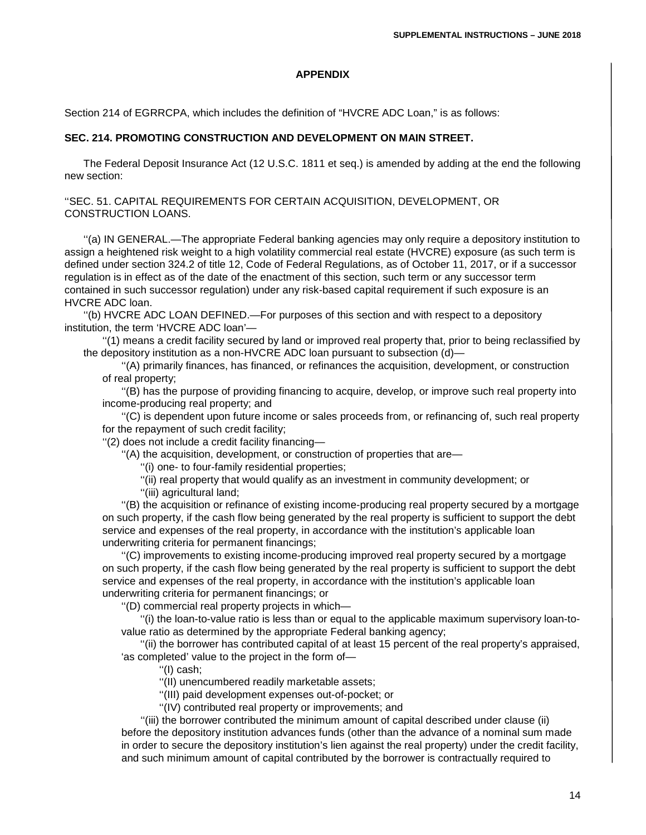#### **APPENDIX**

Section 214 of EGRRCPA, which includes the definition of "HVCRE ADC Loan," is as follows:

#### **SEC. 214. PROMOTING CONSTRUCTION AND DEVELOPMENT ON MAIN STREET.**

The Federal Deposit Insurance Act (12 U.S.C. 1811 et seq.) is amended by adding at the end the following new section:

''SEC. 51. CAPITAL REQUIREMENTS FOR CERTAIN ACQUISITION, DEVELOPMENT, OR CONSTRUCTION LOANS.

''(a) IN GENERAL.—The appropriate Federal banking agencies may only require a depository institution to assign a heightened risk weight to a high volatility commercial real estate (HVCRE) exposure (as such term is defined under section 324.2 of title 12, Code of Federal Regulations, as of October 11, 2017, or if a successor regulation is in effect as of the date of the enactment of this section, such term or any successor term contained in such successor regulation) under any risk-based capital requirement if such exposure is an HVCRE ADC loan.

''(b) HVCRE ADC LOAN DEFINED.—For purposes of this section and with respect to a depository institution, the term 'HVCRE ADC loan'—

''(1) means a credit facility secured by land or improved real property that, prior to being reclassified by the depository institution as a non-HVCRE ADC loan pursuant to subsection (d)—

''(A) primarily finances, has financed, or refinances the acquisition, development, or construction of real property;

''(B) has the purpose of providing financing to acquire, develop, or improve such real property into income-producing real property; and

''(C) is dependent upon future income or sales proceeds from, or refinancing of, such real property for the repayment of such credit facility;

''(2) does not include a credit facility financing—

''(A) the acquisition, development, or construction of properties that are—

''(i) one- to four-family residential properties;

''(ii) real property that would qualify as an investment in community development; or

''(iii) agricultural land;

''(B) the acquisition or refinance of existing income-producing real property secured by a mortgage on such property, if the cash flow being generated by the real property is sufficient to support the debt service and expenses of the real property, in accordance with the institution's applicable loan underwriting criteria for permanent financings;

''(C) improvements to existing income-producing improved real property secured by a mortgage on such property, if the cash flow being generated by the real property is sufficient to support the debt service and expenses of the real property, in accordance with the institution's applicable loan underwriting criteria for permanent financings; or

''(D) commercial real property projects in which—

''(i) the loan-to-value ratio is less than or equal to the applicable maximum supervisory loan-tovalue ratio as determined by the appropriate Federal banking agency;

''(ii) the borrower has contributed capital of at least 15 percent of the real property's appraised, 'as completed' value to the project in the form of—

''(I) cash;

''(II) unencumbered readily marketable assets;

''(III) paid development expenses out-of-pocket; or

''(IV) contributed real property or improvements; and

''(iii) the borrower contributed the minimum amount of capital described under clause (ii) before the depository institution advances funds (other than the advance of a nominal sum made in order to secure the depository institution's lien against the real property) under the credit facility, and such minimum amount of capital contributed by the borrower is contractually required to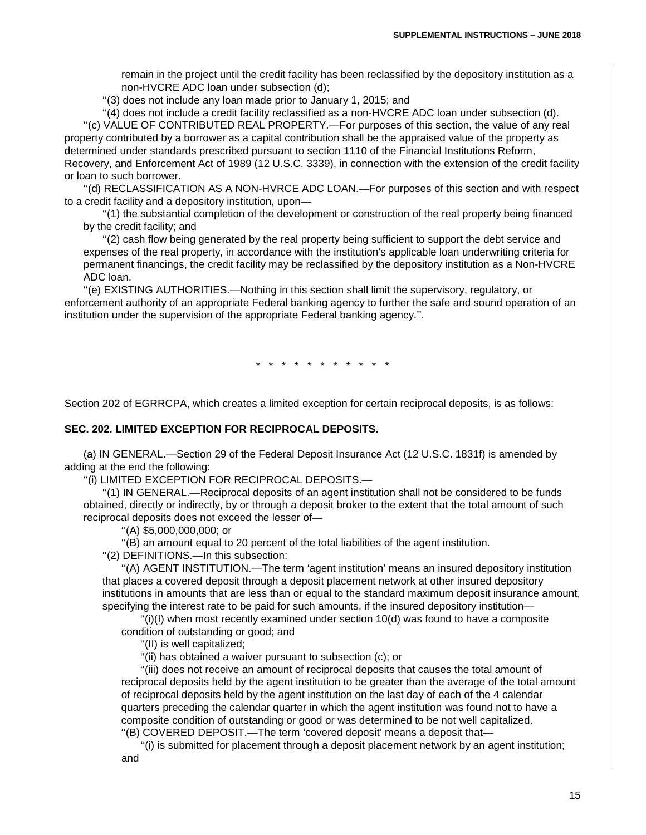remain in the project until the credit facility has been reclassified by the depository institution as a non-HVCRE ADC loan under subsection (d);

''(3) does not include any loan made prior to January 1, 2015; and

''(4) does not include a credit facility reclassified as a non-HVCRE ADC loan under subsection (d). ''(c) VALUE OF CONTRIBUTED REAL PROPERTY.—For purposes of this section, the value of any real property contributed by a borrower as a capital contribution shall be the appraised value of the property as determined under standards prescribed pursuant to section 1110 of the Financial Institutions Reform,

Recovery, and Enforcement Act of 1989 (12 U.S.C. 3339), in connection with the extension of the credit facility or loan to such borrower.

''(d) RECLASSIFICATION AS A NON-HVRCE ADC LOAN.—For purposes of this section and with respect to a credit facility and a depository institution, upon—

''(1) the substantial completion of the development or construction of the real property being financed by the credit facility; and

''(2) cash flow being generated by the real property being sufficient to support the debt service and expenses of the real property, in accordance with the institution's applicable loan underwriting criteria for permanent financings, the credit facility may be reclassified by the depository institution as a Non-HVCRE ADC loan.

''(e) EXISTING AUTHORITIES.—Nothing in this section shall limit the supervisory, regulatory, or enforcement authority of an appropriate Federal banking agency to further the safe and sound operation of an institution under the supervision of the appropriate Federal banking agency.''.

\* \* \* \* \* \* \* \* \* \* \*

Section 202 of EGRRCPA, which creates a limited exception for certain reciprocal deposits, is as follows:

#### **SEC. 202. LIMITED EXCEPTION FOR RECIPROCAL DEPOSITS.**

(a) IN GENERAL.—Section 29 of the Federal Deposit Insurance Act (12 U.S.C. 1831f) is amended by adding at the end the following:

''(i) LIMITED EXCEPTION FOR RECIPROCAL DEPOSITS.—

''(1) IN GENERAL.—Reciprocal deposits of an agent institution shall not be considered to be funds obtained, directly or indirectly, by or through a deposit broker to the extent that the total amount of such reciprocal deposits does not exceed the lesser of—

''(A) \$5,000,000,000; or

''(B) an amount equal to 20 percent of the total liabilities of the agent institution.

''(2) DEFINITIONS.—In this subsection:

''(A) AGENT INSTITUTION.—The term 'agent institution' means an insured depository institution that places a covered deposit through a deposit placement network at other insured depository institutions in amounts that are less than or equal to the standard maximum deposit insurance amount, specifying the interest rate to be paid for such amounts, if the insured depository institution—

 $\frac{f(i)}{i}$ ) when most recently examined under section 10(d) was found to have a composite condition of outstanding or good; and

''(II) is well capitalized;

"(ii) has obtained a waiver pursuant to subsection (c); or

''(iii) does not receive an amount of reciprocal deposits that causes the total amount of reciprocal deposits held by the agent institution to be greater than the average of the total amount of reciprocal deposits held by the agent institution on the last day of each of the 4 calendar quarters preceding the calendar quarter in which the agent institution was found not to have a composite condition of outstanding or good or was determined to be not well capitalized. ''(B) COVERED DEPOSIT.—The term 'covered deposit' means a deposit that—

''(i) is submitted for placement through a deposit placement network by an agent institution;